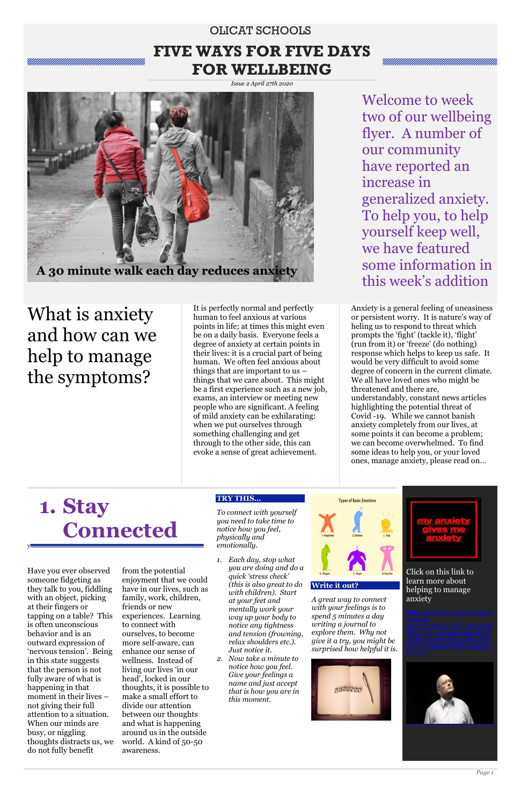## OLICAT SCHOOLS **FIVE WAYS FOR FIVE DAYS FOR WELLBEING**

*Issue 2 April 27th 2020*

Welcome to week two of our wellbeing flyer. A number of our community have reported an increase in generalized anxiety. To help you, to help yourself keep well, we have featured some information in this week's addition

What is anxiety and how can we help to manage the symptoms?

It is perfectly normal and perfectly human to feel anxious at various points in life; at times this might even be on a daily basis. Everyone feels a degree of anxiety at certain points in their lives: it is a crucial part of being human. We often feel anxious about things that are important to us – things that we care about. This might be a first experience such as a new job, exams, an interview or meeting new people who are significant. A feeling of mild anxiety can be exhilarating: when we put ourselves through something challenging and get through to the other side, this can evoke a sense of great achievement.

Anxiety is a general feeling of uneasiness or persistent worry. It is nature's way of heling us to respond to threat which prompts the 'fight' (tackle it), 'flight' (run from it) or 'freeze' (do nothing) response which helps to keep us safe. It would be very difficult to avoid some degree of concern in the current climate. We all have loved ones who might be threatened and there are, understandably, constant news articles highlighting the potential threat of Covid -19. While we cannot banish anxiety completely from our lives, at some points it can become a problem; we can become overwhelmed. To find some ideas to help you, or your loved ones, manage anxiety, please read on…

> Click on this link to learn more about helping to manage



# **1. Stay Connected**

y

#### **TRY THIS…**

*To connect with yourself you need to take time to notice how you feel, physically and emotionally.* 

*1. Each day, stop what you are doing and do a quick 'stress check' (this is also great to do* 



*with children). Start at your feet and mentally work your way up your body to notice any tightness and tension (frowning, relax shoulders etc.). Just notice it.*

*2. Now take a minute to notice how you feel. Give your feelings a name and just accept that is how you are in this moment.*

**Write it out?**



*A great way to connect with your feelings is to spend 5 minutes a day writing a journal to explore them. Why not give it a try, you might be surprised how helpful it is.*



Have you ever observed someone fidgeting as they talk to you, fiddling

with an object, picking at their fingers or tapping on a table? This is often unconscious behavior and is an outward expression of 'nervous tension'. Being in this state suggests that the person is not fully aware of what is happening in that moment in their lives – not giving their full attention to a situation. When our minds are busy, or niggling thoughts distracts us, we do not fully benefit

from the potential enjoyment that we could have in our lives, such as family, work, children, friends or new experiences. Learning to connect with ourselves, to become more self-aware, can enhance our sense of wellness. Instead of living our lives 'in our head', locked in our thoughts, it is possible to make a small effort to divide our attention between our thoughts and what is happening around us in the outside world. A kind of 50-50 awareness.

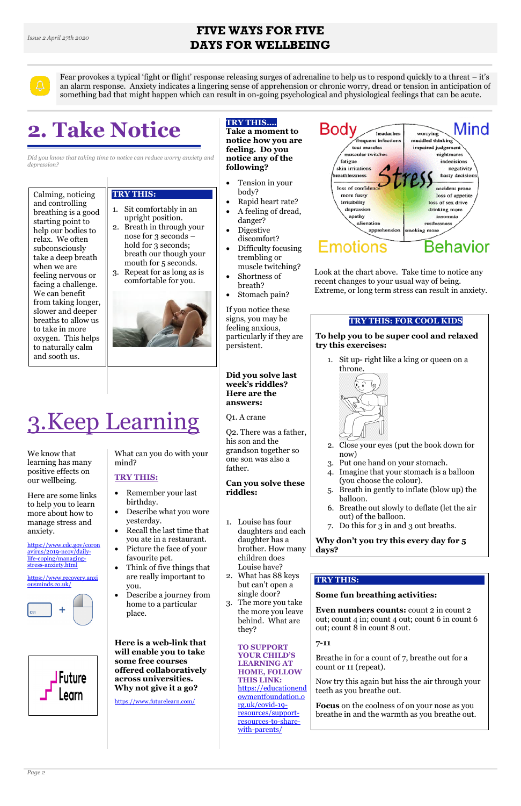#### **FIVE WAYS FOR FIVE DAYS FOR WELLBEING**

Fear provokes a typical 'fight or flight' response releasing surges of adrenaline to help us to respond quickly to a threat – it's an alarm response. Anxiety indicates a lingering sense of apprehension or chronic worry, dread or tension in anticipation of something bad that might happen which can result in on-going psychological and physiological feelings that can be acute.

# **2. Take Notice**

*Did you know that taking time to notice can reduce worry anxiety and depression?*

#### **TRY THIS…. Take a moment to**

**notice how you are feeling. Do you notice any of the following?**

- Tension in your body?
- Rapid heart rate?
- A feeling of dread, danger?
- Digestive discomfort?
- Difficulty focusing trembling or muscle twitching?
- Shortness of breath?
- Stomach pain?

If you notice these signs, you may be feeling anxious, particularly if they are persistent.

**Did you solve last week's riddles? Here are the answers:**

Q1. A crane

Q2. There was a father, his son and the grandson together so one son was also a father.

# **Can you solve these**





# **riddles:**

- Remember your last birthday.
- Describe what you wore yesterday.
- Recall the last time that you ate in a restaurant.
- Picture the face of your favourite pet.
- Think of five things that are really important to you.

- 1. Louise has four daughters and each daughter has a brother. How many children does Louise have?
- 2. What has 88 keys but can't open a



- single door?
- 3. The more you take the more you leave behind. What are they?

**TO SUPPORT YOUR CHILD'S LEARNING AT HOME, FOLLOW THIS LINK:** [https://educationend](https://educationendowmentfoundation.org.uk/covid-19-resources/support-resources-to-share-with-parents/) [owmentfoundation.o](https://educationendowmentfoundation.org.uk/covid-19-resources/support-resources-to-share-with-parents/) [rg.uk/covid-19](https://educationendowmentfoundation.org.uk/covid-19-resources/support-resources-to-share-with-parents/) [resources/support](https://educationendowmentfoundation.org.uk/covid-19-resources/support-resources-to-share-with-parents/)[resources-to-share](https://educationendowmentfoundation.org.uk/covid-19-resources/support-resources-to-share-with-parents/)[with-parents/](https://educationendowmentfoundation.org.uk/covid-19-resources/support-resources-to-share-with-parents/)

Look at the chart above. Take time to notice any recent changes to your usual way of being. Extreme, or long term stress can result in anxiety.

# 3.Keep Learning

We know that learning has many positive effects on our wellbeing.

Here are some links to help you to learn more about how to manage stress and anxiety.

[https://www.cdc.gov/coron](https://www.cdc.gov/coronavirus/2019-ncov/daily-life-coping/managing-stress-anxiety.html) [avirus/2019-ncov/daily](https://www.cdc.gov/coronavirus/2019-ncov/daily-life-coping/managing-stress-anxiety.html)[life-coping/managing](https://www.cdc.gov/coronavirus/2019-ncov/daily-life-coping/managing-stress-anxiety.html)[stress-anxiety.html](https://www.cdc.gov/coronavirus/2019-ncov/daily-life-coping/managing-stress-anxiety.html)

[https://www.recovery.anxi](https://www.recovery.anxiousminds.co.uk/) [ousminds.co.uk/](https://www.recovery.anxiousminds.co.uk/)

What can you do with your mind?

#### **TRY THIS:**

 Describe a journey from home to a particular place.

**Here is a web-link that will enable you to take some free courses offered collaboratively across universities. Why not give it a go?**

<https://www.futurelearn.com/>

#### **TRY THIS: FOR COOL KIDS**

**To help you to be super cool and relaxed try this exercises:**

1. Sit up- right like a king or queen on a throne.



- 2. Close your eyes (put the book down for now)
- 3. Put one hand on your stomach.
- 4. Imagine that your stomach is a balloon (you choose the colour).
- 5. Breath in gently to inflate (blow up) the balloon.
- 6. Breathe out slowly to deflate (let the air out) of the balloon.
- 7. Do this for 3 in and 3 out breaths.

#### **Why don't you try this every day for 5 days?**

Calming, noticing and controlling breathing is a good starting point to help our bodies to relax. We often subconsciously take a deep breath

when we are

feeling nervous or facing a challenge. We can benefit from taking longer, slower and deeper breaths to allow us to take in more oxygen. This helps to naturally calm and sooth us.

#### **TRY THIS:**

- 1. Sit comfortably in an upright position.
- 2. Breath in through your nose for 3 seconds – hold for 3 seconds; breath our though your mouth for 5 seconds.
- 3. Repeat for as long as is comfortable for you.



#### **TRY THIS:**

#### **Some fun breathing activities:**

**Even numbers counts:** count 2 in count 2 out; count 4 in; count 4 out; count 6 in count 6 out; count 8 in count 8 out.

**7-11**

Breathe in for a count of 7, breathe out for a count or 11 (repeat).

Now try this again but hiss the air through your teeth as you breathe out.

**Focus** on the coolness of on your nose as you breathe in and the warmth as you breathe out.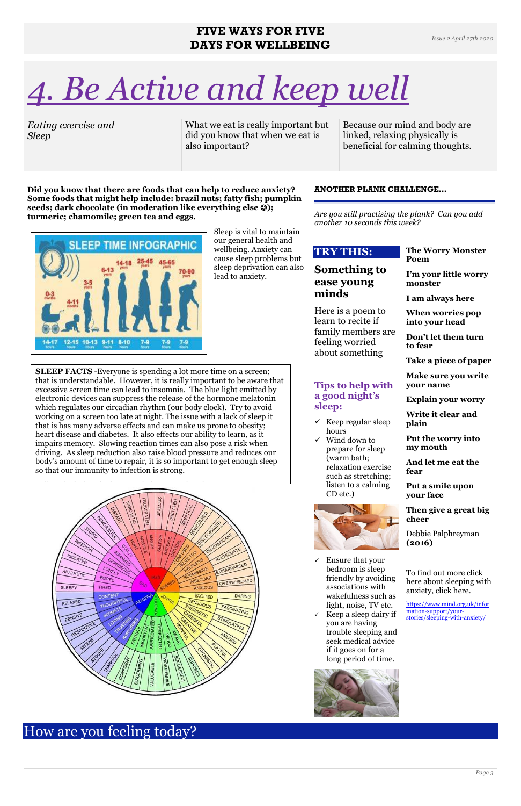#### **FIVE WAYS FOR FIVE DAYS FOR WELLBEING**



# *4. Be Active and keep well*

*Eating exercise and Sleep*

What we eat is really important but did you know that when we eat is also important?

Because our mind and body are linked, relaxing physically is beneficial for calming thoughts.

**Did you know that there are foods that can help to reduce anxiety? Some foods that might help include: brazil nuts; fatty fish; pumpkin seeds; dark chocolate (in moderation like everything else ); turmeric; chamomile; green tea and eggs.** 



- $\checkmark$  Keep regular sleep hours
- $\checkmark$  Wind down to prepare for sleep (warm bath; relaxation exercise such as stretching; listen to a calming CD etc.)



Sleep is vital to maintain our general health and wellbeing. Anxiety can cause sleep problems but sleep deprivation can also lead to anxiety.

#### **ANOTHER PLANK CHALLENGE…**

*Are you still practising the plank? Can you add another 10 seconds this week?*

#### **TRY THIS:**

#### **Something to ease young minds**

Here is a poem to learn to recite if family members are feeling worried about something

#### **Tips to help with a good night's sleep:**

 Ensure that your bedroom is sleep friendly by avoiding associations with wakefulness such as light, noise, TV etc. Keep a sleep dairy if you are having trouble sleeping and seek medical advice if it goes on for a long period of time.

#### **The Worry Monster Poem I'm your little worry monster**

**I am always here**

**When worries pop into your head**

**Don't let them turn to fear**

**Take a piece of paper**

**Make sure you write your name**

**Explain your worry**

**Write it clear and plain**

**Put the worry into my mouth**

**And let me eat the fear**

**Put a smile upon your face**

**Then give a great big cheer**

Debbie Palphreyman **(2016)**

To find out more click here about sleeping with anxiety, click here.



[https://www.mind.org.uk/infor](https://www.mind.org.uk/information-support/your-stories/sleeping-with-anxiety/) [mation-support/your](https://www.mind.org.uk/information-support/your-stories/sleeping-with-anxiety/)[stories/sleeping-with-anxiety/](https://www.mind.org.uk/information-support/your-stories/sleeping-with-anxiety/)

### How are you feeling today?

**SLEEP FACTS** -Everyone is spending a lot more time on a screen; that is understandable. However, it is really important to be aware that excessive screen time can lead to insomnia. The blue light emitted by electronic devices can suppress the release of the hormone melatonin which regulates our circadian rhythm (our body clock). Try to avoid working on a screen too late at night. The issue with a lack of sleep it that is has many adverse effects and can make us prone to obesity; heart disease and diabetes. It also effects our ability to learn, as it impairs memory. Slowing reaction times can also pose a risk when driving. As sleep reduction also raise blood pressure and reduces our body's amount of time to repair, it is so important to get enough sleep so that our immunity to infection is strong.